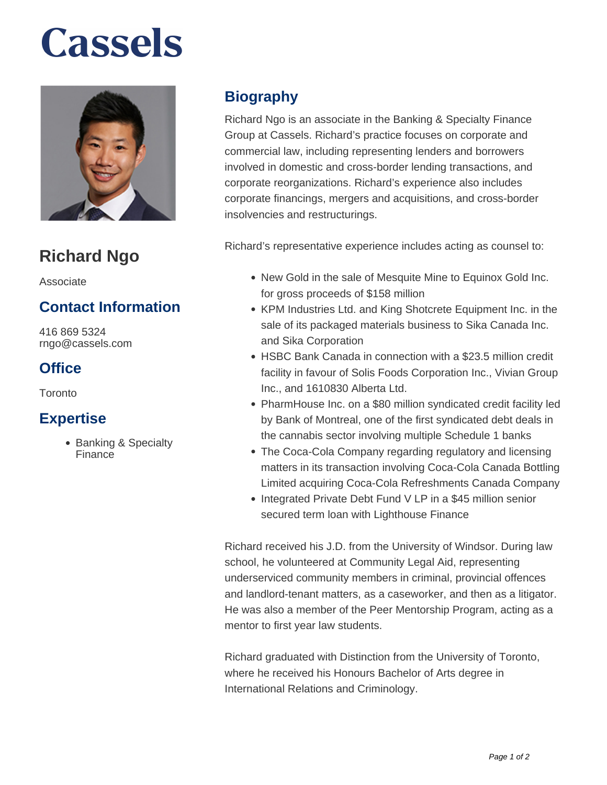# **Cassels**



# **Richard Ngo**

Associate

### **Contact Information**

416 869 5324 rngo@cassels.com

### **Office**

Toronto

#### **Expertise**

• Banking & Specialty Finance

## **Biography**

Richard Ngo is an associate in the Banking & Specialty Finance Group at Cassels. Richard's practice focuses on corporate and commercial law, including representing lenders and borrowers involved in domestic and cross-border lending transactions, and corporate reorganizations. Richard's experience also includes corporate financings, mergers and acquisitions, and cross-border insolvencies and restructurings.

Richard's representative experience includes acting as counsel to:

- New Gold in the sale of Mesquite Mine to Equinox Gold Inc. for gross proceeds of \$158 million
- KPM Industries Ltd. and King Shotcrete Equipment Inc. in the sale of its packaged materials business to Sika Canada Inc. and Sika Corporation
- HSBC Bank Canada in connection with a \$23.5 million credit facility in favour of Solis Foods Corporation Inc., Vivian Group Inc., and 1610830 Alberta Ltd.
- PharmHouse Inc. on a \$80 million syndicated credit facility led by Bank of Montreal, one of the first syndicated debt deals in the cannabis sector involving multiple Schedule 1 banks
- The Coca-Cola Company regarding regulatory and licensing matters in its transaction involving Coca-Cola Canada Bottling Limited acquiring Coca-Cola Refreshments Canada Company
- Integrated Private Debt Fund V LP in a \$45 million senior secured term loan with Lighthouse Finance

Richard received his J.D. from the University of Windsor. During law school, he volunteered at Community Legal Aid, representing underserviced community members in criminal, provincial offences and landlord-tenant matters, as a caseworker, and then as a litigator. He was also a member of the Peer Mentorship Program, acting as a mentor to first year law students.

Richard graduated with Distinction from the University of Toronto, where he received his Honours Bachelor of Arts degree in International Relations and Criminology.